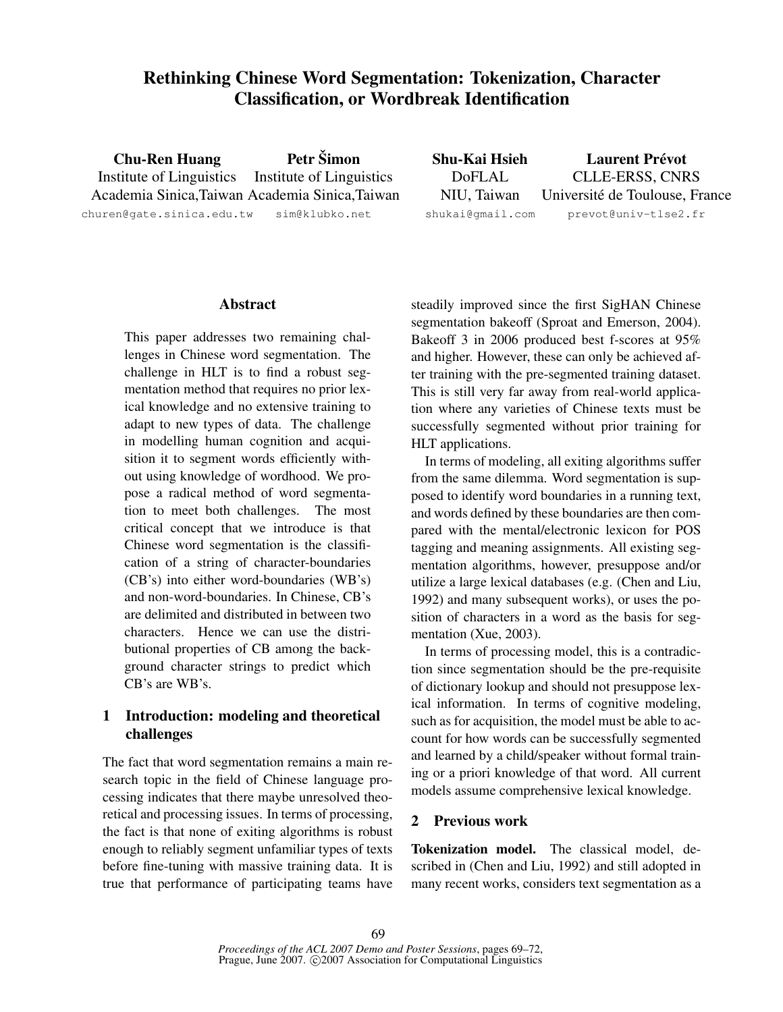# Rethinking Chinese Word Segmentation: Tokenization, Character Classification, or Wordbreak Identification

Chu-Ren Huang Institute of Linguistics Academia Sinica,Taiwan Academia Sinica,Taiwan churen@gate.sinica.edu.tw Petr Šimon Institute of Linguistics sim@klubko.net

Shu-Kai Hsieh DoFLAL NIU, Taiwan shukai@gmail.com Laurent Prévot CLLE-ERSS, CNRS Universite de Toulouse, France ´ prevot@univ-tlse2.fr

## Abstract

This paper addresses two remaining challenges in Chinese word segmentation. The challenge in HLT is to find a robust segmentation method that requires no prior lexical knowledge and no extensive training to adapt to new types of data. The challenge in modelling human cognition and acquisition it to segment words efficiently without using knowledge of wordhood. We propose a radical method of word segmentation to meet both challenges. The most critical concept that we introduce is that Chinese word segmentation is the classification of a string of character-boundaries (CB's) into either word-boundaries (WB's) and non-word-boundaries. In Chinese, CB's are delimited and distributed in between two characters. Hence we can use the distributional properties of CB among the background character strings to predict which CB's are WB's.

## 1 Introduction: modeling and theoretical challenges

The fact that word segmentation remains a main research topic in the field of Chinese language processing indicates that there maybe unresolved theoretical and processing issues. In terms of processing, the fact is that none of exiting algorithms is robust enough to reliably segment unfamiliar types of texts before fine-tuning with massive training data. It is true that performance of participating teams have steadily improved since the first SigHAN Chinese segmentation bakeoff (Sproat and Emerson, 2004). Bakeoff 3 in 2006 produced best f-scores at 95% and higher. However, these can only be achieved after training with the pre-segmented training dataset. This is still very far away from real-world application where any varieties of Chinese texts must be successfully segmented without prior training for HLT applications.

In terms of modeling, all exiting algorithms suffer from the same dilemma. Word segmentation is supposed to identify word boundaries in a running text, and words defined by these boundaries are then compared with the mental/electronic lexicon for POS tagging and meaning assignments. All existing segmentation algorithms, however, presuppose and/or utilize a large lexical databases (e.g. (Chen and Liu, 1992) and many subsequent works), or uses the position of characters in a word as the basis for segmentation (Xue, 2003).

In terms of processing model, this is a contradiction since segmentation should be the pre-requisite of dictionary lookup and should not presuppose lexical information. In terms of cognitive modeling, such as for acquisition, the model must be able to account for how words can be successfully segmented and learned by a child/speaker without formal training or a priori knowledge of that word. All current models assume comprehensive lexical knowledge.

## 2 Previous work

Tokenization model. The classical model, described in (Chen and Liu, 1992) and still adopted in many recent works, considers text segmentation as a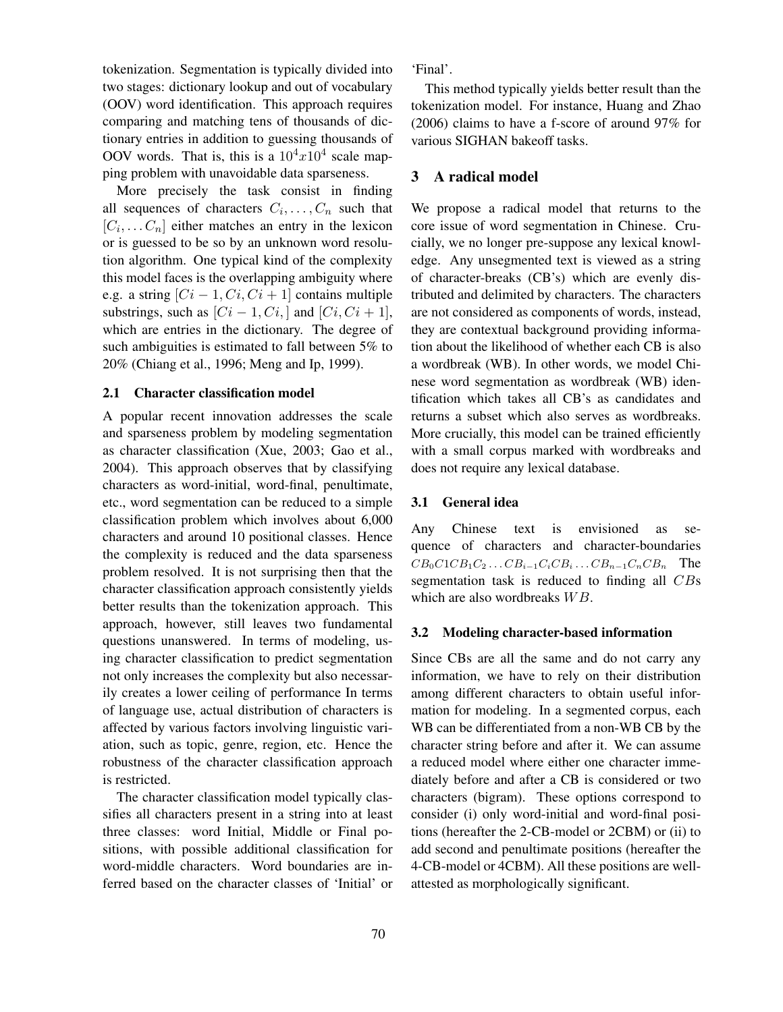tokenization. Segmentation is typically divided into two stages: dictionary lookup and out of vocabulary (OOV) word identification. This approach requires comparing and matching tens of thousands of dictionary entries in addition to guessing thousands of OOV words. That is, this is a  $10^4x10^4$  scale mapping problem with unavoidable data sparseness.

More precisely the task consist in finding all sequences of characters  $C_i, \ldots, C_n$  such that  $[C_i, \ldots, C_n]$  either matches an entry in the lexicon or is guessed to be so by an unknown word resolution algorithm. One typical kind of the complexity this model faces is the overlapping ambiguity where e.g. a string  $[C_i - 1, Ci, Ci + 1]$  contains multiple substrings, such as  $[C_i - 1, Ci_j]$  and  $[C_i, Ci + 1]$ , which are entries in the dictionary. The degree of such ambiguities is estimated to fall between 5% to 20% (Chiang et al., 1996; Meng and Ip, 1999).

## 2.1 Character classification model

A popular recent innovation addresses the scale and sparseness problem by modeling segmentation as character classification (Xue, 2003; Gao et al., 2004). This approach observes that by classifying characters as word-initial, word-final, penultimate, etc., word segmentation can be reduced to a simple classification problem which involves about 6,000 characters and around 10 positional classes. Hence the complexity is reduced and the data sparseness problem resolved. It is not surprising then that the character classification approach consistently yields better results than the tokenization approach. This approach, however, still leaves two fundamental questions unanswered. In terms of modeling, using character classification to predict segmentation not only increases the complexity but also necessarily creates a lower ceiling of performance In terms of language use, actual distribution of characters is affected by various factors involving linguistic variation, such as topic, genre, region, etc. Hence the robustness of the character classification approach is restricted.

The character classification model typically classifies all characters present in a string into at least three classes: word Initial, Middle or Final positions, with possible additional classification for word-middle characters. Word boundaries are inferred based on the character classes of 'Initial' or 'Final'.

This method typically yields better result than the tokenization model. For instance, Huang and Zhao (2006) claims to have a f-score of around 97% for various SIGHAN bakeoff tasks.

## 3 A radical model

We propose a radical model that returns to the core issue of word segmentation in Chinese. Crucially, we no longer pre-suppose any lexical knowledge. Any unsegmented text is viewed as a string of character-breaks (CB's) which are evenly distributed and delimited by characters. The characters are not considered as components of words, instead, they are contextual background providing information about the likelihood of whether each CB is also a wordbreak (WB). In other words, we model Chinese word segmentation as wordbreak (WB) identification which takes all CB's as candidates and returns a subset which also serves as wordbreaks. More crucially, this model can be trained efficiently with a small corpus marked with wordbreaks and does not require any lexical database.

## 3.1 General idea

Any Chinese text is envisioned as sequence of characters and character-boundaries  $CB_0C1CB_1C_2 \ldots CB_{i-1}C_iCB_i \ldots CB_{n-1}C_nCB_n$  The segmentation task is reduced to finding all CBs which are also wordbreaks  $WB$ .

### 3.2 Modeling character-based information

Since CBs are all the same and do not carry any information, we have to rely on their distribution among different characters to obtain useful information for modeling. In a segmented corpus, each WB can be differentiated from a non-WB CB by the character string before and after it. We can assume a reduced model where either one character immediately before and after a CB is considered or two characters (bigram). These options correspond to consider (i) only word-initial and word-final positions (hereafter the 2-CB-model or 2CBM) or (ii) to add second and penultimate positions (hereafter the 4-CB-model or 4CBM). All these positions are wellattested as morphologically significant.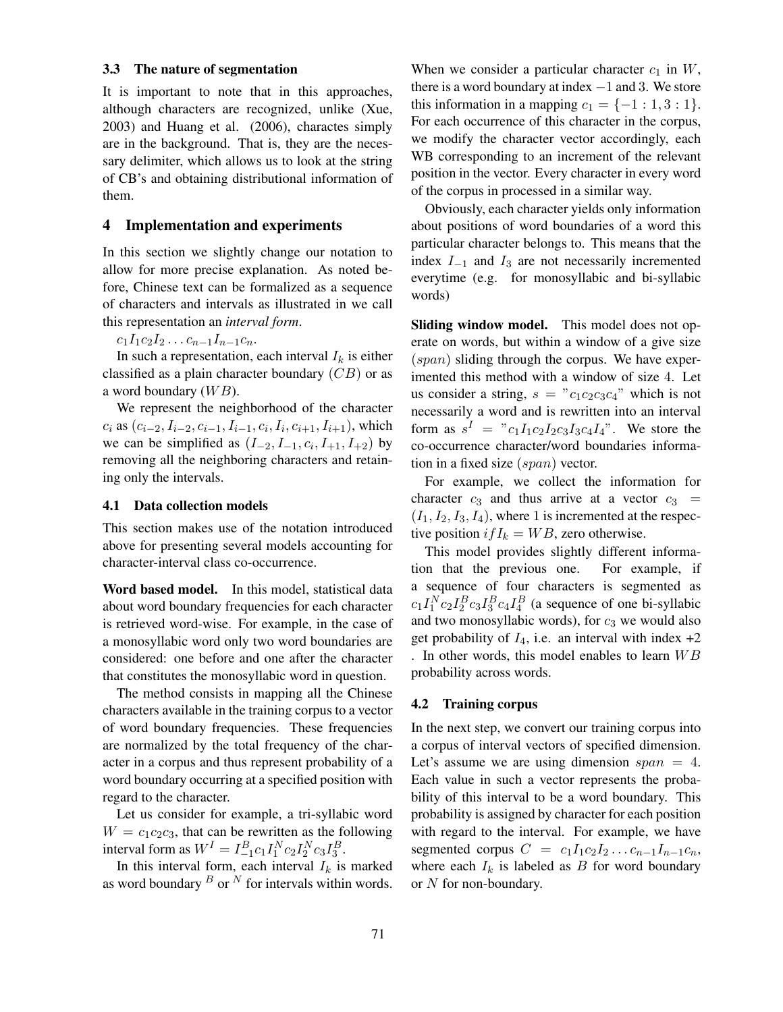#### 3.3 The nature of segmentation

It is important to note that in this approaches, although characters are recognized, unlike (Xue, 2003) and Huang et al. (2006), charactes simply are in the background. That is, they are the necessary delimiter, which allows us to look at the string of CB's and obtaining distributional information of them.

### 4 Implementation and experiments

In this section we slightly change our notation to allow for more precise explanation. As noted before, Chinese text can be formalized as a sequence of characters and intervals as illustrated in we call this representation an *interval form*.

 $c_1I_1c_2I_2\ldots c_{n-1}I_{n-1}c_n.$ 

In such a representation, each interval  $I_k$  is either classified as a plain character boundary  $(CB)$  or as a word boundary  $(W B)$ .

We represent the neighborhood of the character  $c_i$  as  $(c_{i-2}, I_{i-2}, c_{i-1}, I_{i-1}, c_i, I_i, c_{i+1}, I_{i+1})$ , which we can be simplified as  $(I_{-2}, I_{-1}, c_i, I_{+1}, I_{+2})$  by removing all the neighboring characters and retaining only the intervals.

## 4.1 Data collection models

This section makes use of the notation introduced above for presenting several models accounting for character-interval class co-occurrence.

Word based model. In this model, statistical data about word boundary frequencies for each character is retrieved word-wise. For example, in the case of a monosyllabic word only two word boundaries are considered: one before and one after the character that constitutes the monosyllabic word in question.

The method consists in mapping all the Chinese characters available in the training corpus to a vector of word boundary frequencies. These frequencies are normalized by the total frequency of the character in a corpus and thus represent probability of a word boundary occurring at a specified position with regard to the character.

Let us consider for example, a tri-syllabic word  $W = c_1c_2c_3$ , that can be rewritten as the following interval form as  $W^I = I_{-1}^B c_1 I_1^N c_2 I_2^N c_3 I_3^B$ .

In this interval form, each interval  $I_k$  is marked as word boundary  $B$  or  $N$  for intervals within words. When we consider a particular character  $c_1$  in  $W$ , there is a word boundary at index  $-1$  and 3. We store this information in a mapping  $c_1 = \{-1: 1, 3: 1\}.$ For each occurrence of this character in the corpus, we modify the character vector accordingly, each WB corresponding to an increment of the relevant position in the vector. Every character in every word of the corpus in processed in a similar way.

Obviously, each character yields only information about positions of word boundaries of a word this particular character belongs to. This means that the index  $I_{-1}$  and  $I_3$  are not necessarily incremented everytime (e.g. for monosyllabic and bi-syllabic words)

Sliding window model. This model does not operate on words, but within a window of a give size  $(span)$  sliding through the corpus. We have experimented this method with a window of size 4. Let us consider a string,  $s = "c_1c_2c_3c_4"$  which is not necessarily a word and is rewritten into an interval form as  $s^I = "c_1 I_1 c_2 I_2 c_3 I_3 c_4 I_4".$  We store the co-occurrence character/word boundaries information in a fixed size (span) vector.

For example, we collect the information for character  $c_3$  and thus arrive at a vector  $c_3$  =  $(I_1, I_2, I_3, I_4)$ , where 1 is incremented at the respective position  $ifI_k = WB$ , zero otherwise.

This model provides slightly different information that the previous one. For example, if a sequence of four characters is segmented as  $c_1 I_1^N c_2 I_2^B c_3 I_3^B c_4 I_4^B$  (a sequence of one bi-syllabic and two monosyllabic words), for  $c_3$  we would also get probability of  $I_4$ , i.e. an interval with index  $+2$ . In other words, this model enables to learn  $WB$ probability across words.

#### 4.2 Training corpus

In the next step, we convert our training corpus into a corpus of interval vectors of specified dimension. Let's assume we are using dimension  $span = 4$ . Each value in such a vector represents the probability of this interval to be a word boundary. This probability is assigned by character for each position with regard to the interval. For example, we have segmented corpus  $C = c_1 I_1 c_2 I_2 \dots c_{n-1} I_{n-1} c_n$ , where each  $I_k$  is labeled as  $B$  for word boundary or N for non-boundary.